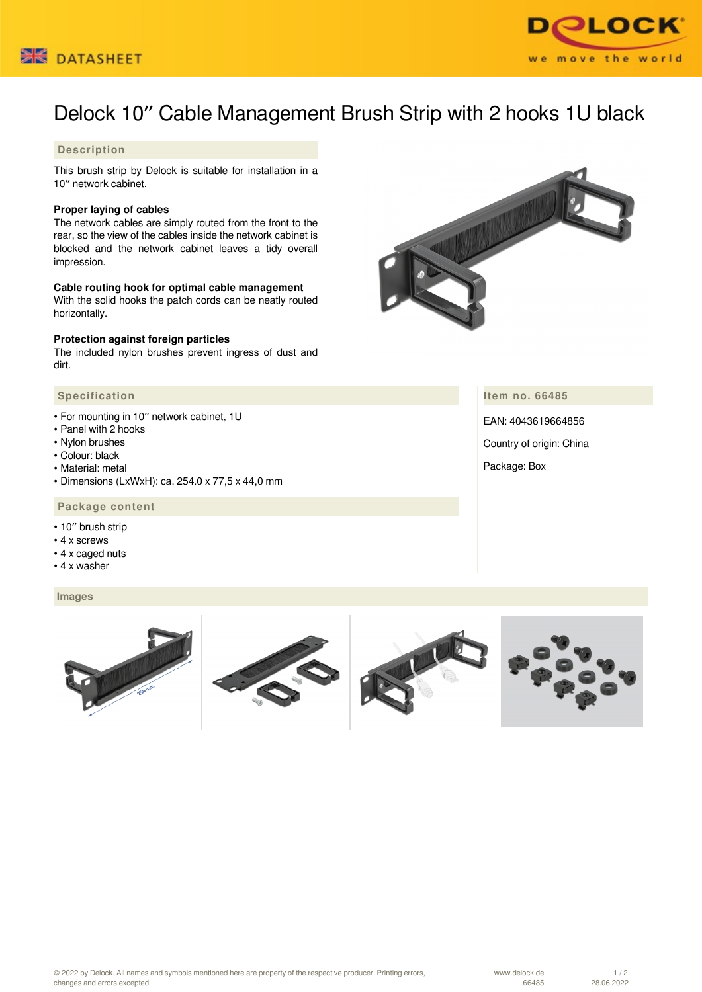



# Delock 10″ Cable Management Brush Strip with 2 hooks 1U black

# **Description**

This brush strip by Delock is suitable for installation in a 10″ network cabinet.

## **Proper laying of cables**

The network cables are simply routed from the front to the rear, so the view of the cables inside the network cabinet is blocked and the network cabinet leaves a tidy overall impression.

## **Cable routing hook for optimal cable management**

With the solid hooks the patch cords can be neatly routed horizontally.

#### **Protection against foreign particles**

The included nylon brushes prevent ingress of dust and dirt.

## **Specification**

- For mounting in 10″ network cabinet, 1U
- Panel with 2 hooks
- Nylon brushes
- Colour: black
- Material: metal
- Dimensions (LxWxH): ca. 254.0 x 77,5 x 44,0 mm

# **Package content**

- 10″ brush strip
- 4 x screws
- 4 x caged nuts
- 4 x washer

#### **Images**



**Item no. 66485**

EAN: 4043619664856 Country of origin: China Package: Box